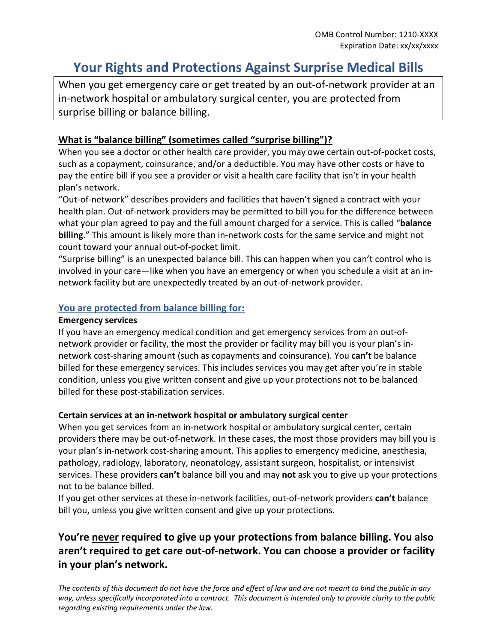# **Your Rights and Protections Against Surprise Medical Bills**

When you get emergency care or get treated by an out-of-network provider at an in-network hospital or ambulatory surgical center, you are protected from surprise billing or balance billing.

### **What is "balance billing" (sometimes called "surprise billing")?**

When you see a doctor or other health care provider, you may owe certain out-of-pocket costs, such as a copayment, coinsurance, and/or a deductible. You may have other costs or have to pay the entire bill if you see a provider or visit a health care facility that isn't in your health plan's network.

"Out-of-network" describes providers and facilities that haven't signed a contract with your health plan. Out-of-network providers may be permitted to bill you for the difference between what your plan agreed to pay and the full amount charged for a service. This is called "**balance billing**." This amount is likely more than in-network costs for the same service and might not count toward your annual out-of-pocket limit.

"Surprise billing" is an unexpected balance bill. This can happen when you can't control who is involved in your care—like when you have an emergency or when you schedule a visit at an innetwork facility but are unexpectedly treated by an out-of-network provider.

### **You are protected from balance billing for:**

### **Emergency services**

If you have an emergency medical condition and get emergency services from an out-ofnetwork provider or facility, the most the provider or facility may bill you is your plan's innetwork cost-sharing amount (such as copayments and coinsurance). You **can't** be balance billed for these emergency services. This includes services you may get after you're in stable condition, unless you give written consent and give up your protections not to be balanced billed for these post-stabilization services.

### **Certain services at an in-network hospital or ambulatory surgical center**

When you get services from an in-network hospital or ambulatory surgical center, certain providers there may be out-of-network. In these cases, the most those providers may bill you is your plan's in-network cost-sharing amount. This applies to emergency medicine, anesthesia, pathology, radiology, laboratory, neonatology, assistant surgeon, hospitalist, or intensivist services. These providers **can't** balance bill you and may **not** ask you to give up your protections not to be balance billed.

If you get other services at these in-network facilities, out-of-network providers **can't** balance bill you, unless you give written consent and give up your protections.

## **You're never required to give up your protections from balance billing. You also aren't required to get care out-of-network. You can choose a provider or facility in your plan's network.**

*The contents of this document do not have the force and effect of law and are not meant to bind the public in any way, unless specifically incorporated into a contract. This document is intended only to provide clarity to the public regarding existing requirements under the law.*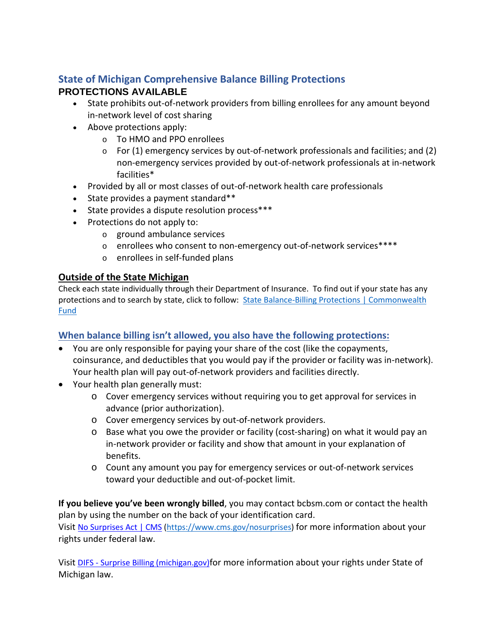### **State of Michigan Comprehensive Balance Billing Protections PROTECTIONS AVAILABLE**

- State prohibits out-of-network providers from billing enrollees for any amount beyond in-network level of cost sharing
- Above protections apply:
	- o To HMO and PPO enrollees
	- $\circ$  For (1) emergency services by out-of-network professionals and facilities; and (2) non-emergency services provided by out-of-network professionals at in-network facilities\*
- Provided by all or most classes of out-of-network health care professionals
- $\bullet$  State provides a payment standard\*\*
- State provides a dispute resolution process\*\*\*
- Protections do not apply to:
	- o ground ambulance services
	- o enrollees who consent to non-emergency out-of-network services\*\*\*\*
	- o enrollees in self-funded plans

### **Outside of the State Michigan**

Check each state individually through their Department of Insurance. To find out if your state has any protections and to search by state, click to follow: State Balance-Billing Protections | Commonwealth [Fund](https://www.commonwealthfund.org/publications/maps-and-interactives/2021/feb/state-balance-billing-protections)

### **When balance billing isn't allowed, you also have the following protections:**

- You are only responsible for paying your share of the cost (like the copayments, coinsurance, and deductibles that you would pay if the provider or facility was in-network). Your health plan will pay out-of-network providers and facilities directly.
- Your health plan generally must:
	- o Cover emergency services without requiring you to get approval for services in advance (prior authorization).
	- o Cover emergency services by out-of-network providers.
	- o Base what you owe the provider or facility (cost-sharing) on what it would pay an in-network provider or facility and show that amount in your explanation of benefits.
	- o Count any amount you pay for emergency services or out-of-network services toward your deductible and out-of-pocket limit.

**If you believe you've been wrongly billed**, you may contact bcbsm.com or contact the health plan by using the number on the back of your identification card.

Visit [No Surprises Act | CMS \(https://www.cms.gov/nosurprises\)](https://www.cms.gov/nosurprises) for more information about your rights under federal law.

Visit [DIFS - Surprise Billing \(michigan.gov\)](https://www.michigan.gov/difs/0,5269,7-303-12902_92612_92613_92614_107933-497218--,00.html)for more information about your rights under State of Michigan law.